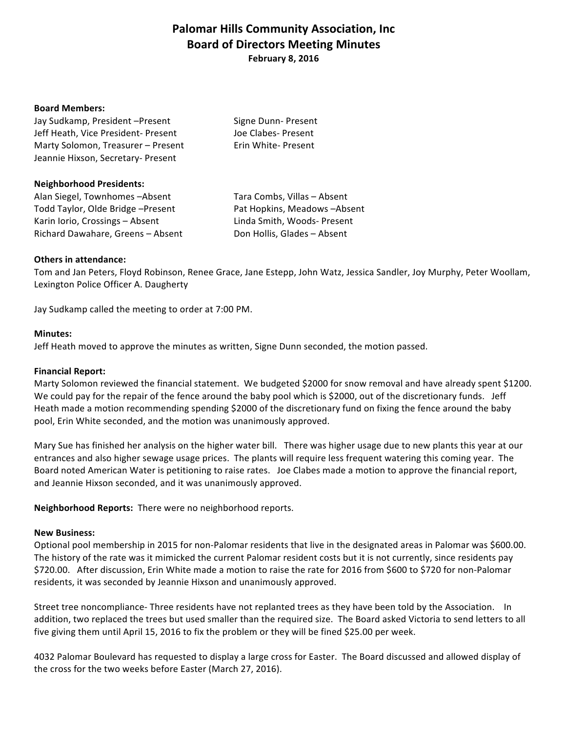# **Palomar Hills Community Association, Inc. Board of Directors Meeting Minutes February 8, 2016**

#### **Board Members:**

| Jay Sudkamp, President-Present      | Signe Dunn- Present |
|-------------------------------------|---------------------|
| Jeff Heath, Vice President- Present | Joe Clabes- Present |
| Marty Solomon, Treasurer - Present  | Erin White-Present  |
| Jeannie Hixson, Secretary- Present  |                     |

#### **Neighborhood Presidents:**

Alan Siegel, Townhomes -Absent Tara Combs, Villas - Absent Todd Taylor, Olde Bridge –Present **The Containery Pat Hopkins, Meadows** –Absent Karin Iorio, Crossings – Absent Linda Smith, Woods- Present Richard Dawahare, Greens – Absent Don Hollis, Glades – Absent

## **Others in attendance:**

Tom and Jan Peters, Floyd Robinson, Renee Grace, Jane Estepp, John Watz, Jessica Sandler, Joy Murphy, Peter Woollam, Lexington Police Officer A. Daugherty

Jay Sudkamp called the meeting to order at 7:00 PM.

#### **Minutes:**

Jeff Heath moved to approve the minutes as written, Signe Dunn seconded, the motion passed.

### **Financial Report:**

Marty Solomon reviewed the financial statement. We budgeted \$2000 for snow removal and have already spent \$1200. We could pay for the repair of the fence around the baby pool which is \$2000, out of the discretionary funds. Jeff Heath made a motion recommending spending \$2000 of the discretionary fund on fixing the fence around the baby pool, Erin White seconded, and the motion was unanimously approved.

Mary Sue has finished her analysis on the higher water bill. There was higher usage due to new plants this year at our entrances and also higher sewage usage prices. The plants will require less frequent watering this coming year. The Board noted American Water is petitioning to raise rates. Joe Clabes made a motion to approve the financial report, and Jeannie Hixson seconded, and it was unanimously approved.

Neighborhood Reports: There were no neighborhood reports.

#### **New Business:**

Optional pool membership in 2015 for non-Palomar residents that live in the designated areas in Palomar was \$600.00. The history of the rate was it mimicked the current Palomar resident costs but it is not currently, since residents pay \$720.00. After discussion, Erin White made a motion to raise the rate for 2016 from \$600 to \$720 for non-Palomar residents, it was seconded by Jeannie Hixson and unanimously approved.

Street tree noncompliance- Three residents have not replanted trees as they have been told by the Association. In addition, two replaced the trees but used smaller than the required size. The Board asked Victoria to send letters to all five giving them until April 15, 2016 to fix the problem or they will be fined \$25.00 per week.

4032 Palomar Boulevard has requested to display a large cross for Easter. The Board discussed and allowed display of the cross for the two weeks before Easter (March 27, 2016).